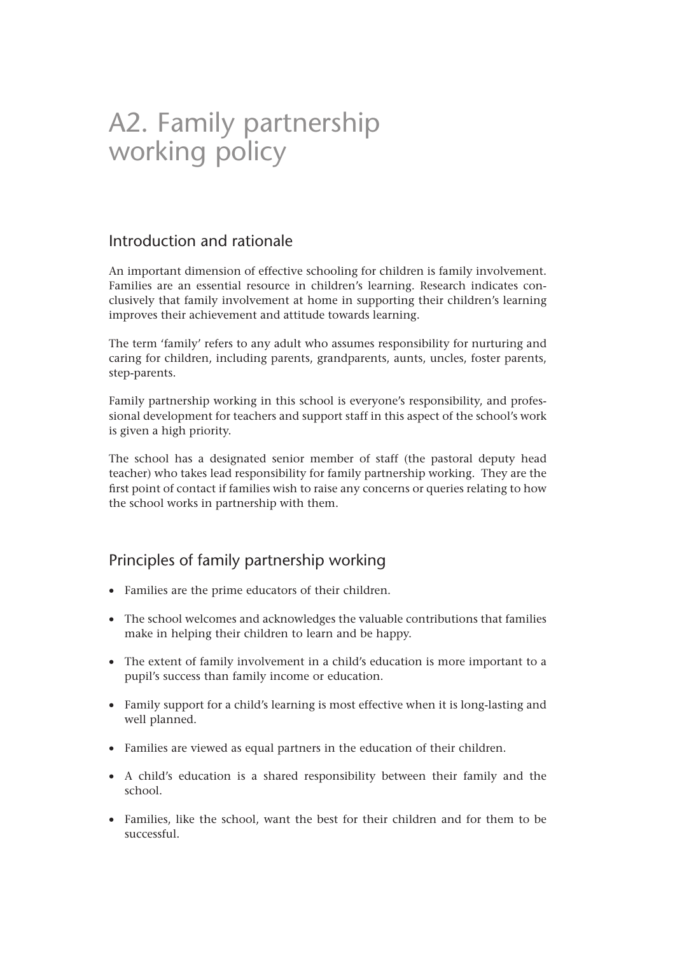# A2. Family partnership working policy

#### Introduction and rationale

An important dimension of effective schooling for children is family involvement. Families are an essential resource in children's learning. Research indicates conclusively that family involvement at home in supporting their children's learning improves their achievement and attitude towards learning.

The term 'family' refers to any adult who assumes responsibility for nurturing and caring for children, including parents, grandparents, aunts, uncles, foster parents, step-parents.

Family partnership working in this school is everyone's responsibility, and professional development for teachers and support staff in this aspect of the school's work is given a high priority.

The school has a designated senior member of staff (the pastoral deputy head teacher) who takes lead responsibility for family partnership working. They are the first point of contact if families wish to raise any concerns or queries relating to how the school works in partnership with them.

## Principles of family partnership working

- Families are the prime educators of their children.
- The school welcomes and acknowledges the valuable contributions that families make in helping their children to learn and be happy.
- The extent of family involvement in a child's education is more important to a pupil's success than family income or education.
- Family support for a child's learning is most effective when it is long-lasting and well planned.
- Families are viewed as equal partners in the education of their children.
- A child's education is a shared responsibility between their family and the school.
- Families, like the school, want the best for their children and for them to be successful.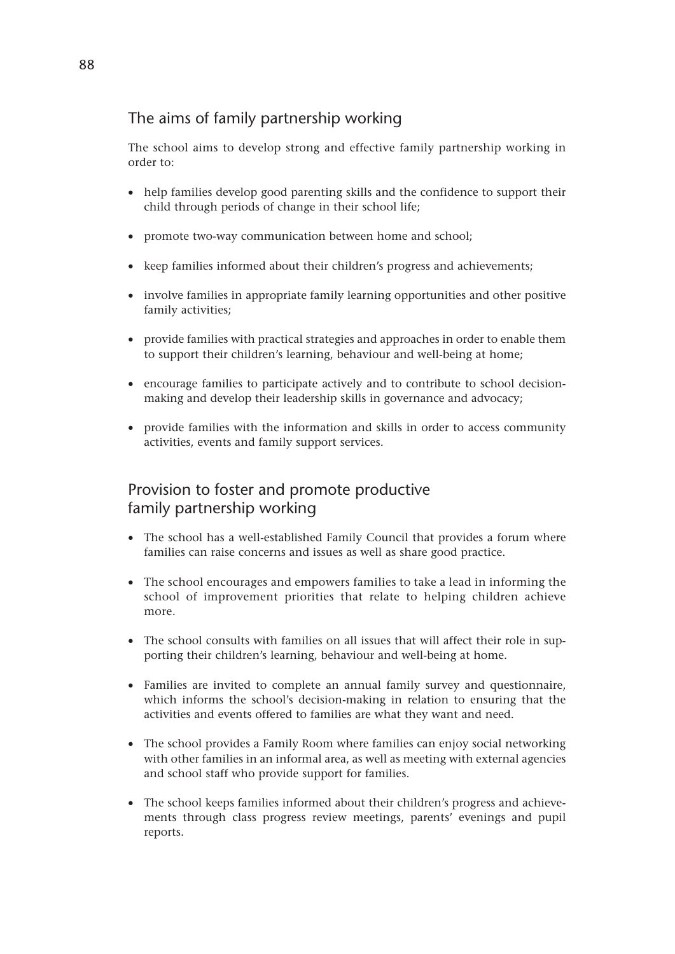## The aims of family partnership working

The school aims to develop strong and effective family partnership working in order to:

- help families develop good parenting skills and the confidence to support their child through periods of change in their school life;
- promote two-way communication between home and school;
- keep families informed about their children's progress and achievements;
- involve families in appropriate family learning opportunities and other positive family activities;
- provide families with practical strategies and approaches in order to enable them to support their children's learning, behaviour and well-being at home;
- encourage families to participate actively and to contribute to school decisionmaking and develop their leadership skills in governance and advocacy;
- provide families with the information and skills in order to access community activities, events and family support services.

## Provision to foster and promote productive family partnership working

- The school has a well-established Family Council that provides a forum where families can raise concerns and issues as well as share good practice.
- The school encourages and empowers families to take a lead in informing the school of improvement priorities that relate to helping children achieve more.
- The school consults with families on all issues that will affect their role in supporting their children's learning, behaviour and well-being at home.
- Families are invited to complete an annual family survey and questionnaire, which informs the school's decision-making in relation to ensuring that the activities and events offered to families are what they want and need.
- The school provides a Family Room where families can enjoy social networking with other families in an informal area, as well as meeting with external agencies and school staff who provide support for families.
- The school keeps families informed about their children's progress and achievements through class progress review meetings, parents' evenings and pupil reports.